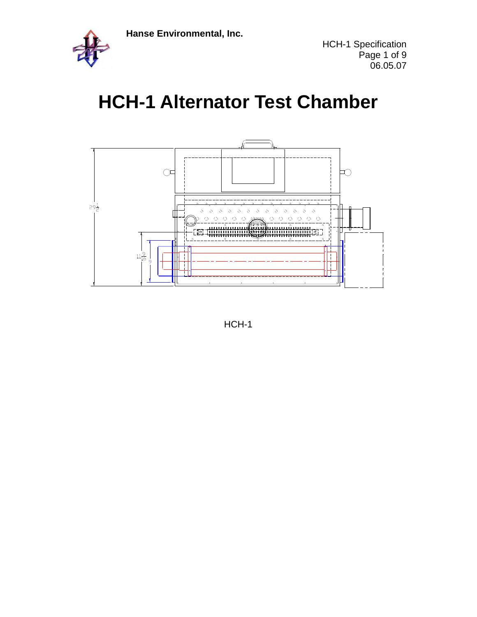

# **HCH-1 Alternator Test Chamber**



HCH-1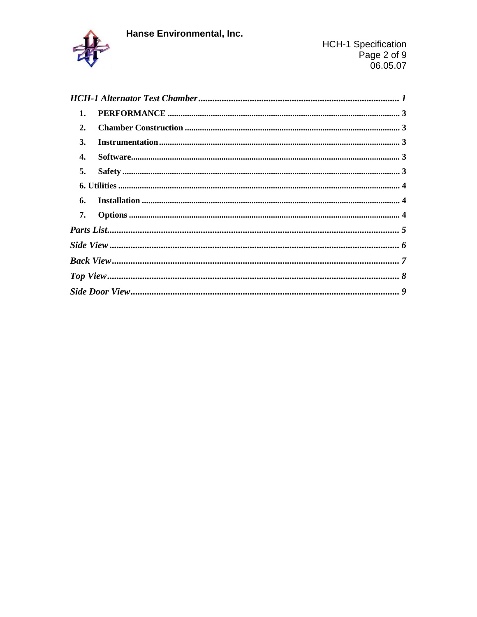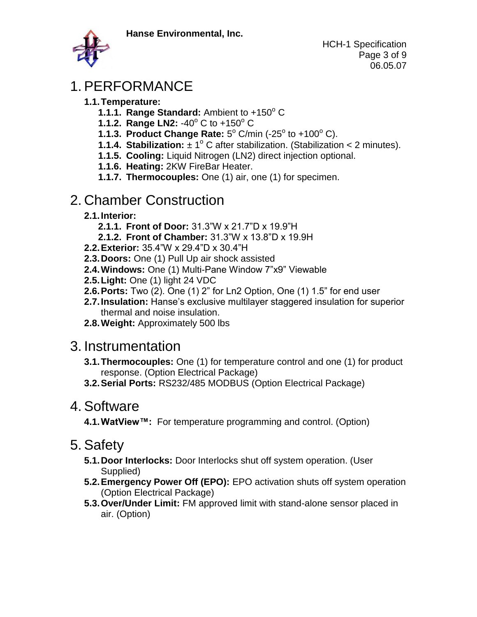

# 1. PERFORMANCE

- **1.1.Temperature:**
	- **1.1.1. Range Standard: Ambient to +150° C**
	- **1.1.2. Range LN2: -40° C to +150° C**
	- **1.1.3. Product Change Rate:**  $5^{\circ}$  C/min (-25° to +100° C).
	- **1.1.4. Stabilization:**  $\pm 1^{\circ}$  C after stabilization. (Stabilization < 2 minutes).
	- **1.1.5. Cooling:** Liquid Nitrogen (LN2) direct injection optional.
	- **1.1.6. Heating:** 2KW FireBar Heater.
	- **1.1.7. Thermocouples:** One (1) air, one (1) for specimen.

## 2. Chamber Construction

- **2.1.Interior:** 
	- **2.1.1. Front of Door:** 31.3"W x 21.7"D x 19.9"H
	- **2.1.2. Front of Chamber:** 31.3"W x 13.8"D x 19.9H
- **2.2.Exterior:** 35.4"W x 29.4"D x 30.4"H
- **2.3.Doors:** One (1) Pull Up air shock assisted
- **2.4.Windows:** One (1) Multi-Pane Window 7"x9" Viewable
- **2.5.Light:** One (1) light 24 VDC
- **2.6.Ports:** Two (2). One (1) 2" for Ln2 Option, One (1) 1.5" for end user
- **2.7.Insulation:** Hanse's exclusive multilayer staggered insulation for superior thermal and noise insulation.
- **2.8.Weight:** Approximately 500 lbs

#### 3. Instrumentation

- **3.1.Thermocouples:** One (1) for temperature control and one (1) for product response. (Option Electrical Package)
- **3.2.Serial Ports:** RS232/485 MODBUS (Option Electrical Package)

#### 4. Software

**4.1.WatView™:** For temperature programming and control. (Option)

## 5. Safety

- **5.1.Door Interlocks:** Door Interlocks shut off system operation. (User Supplied)
- **5.2.Emergency Power Off (EPO):** EPO activation shuts off system operation (Option Electrical Package)
- **5.3.Over/Under Limit:** FM approved limit with stand-alone sensor placed in air. (Option)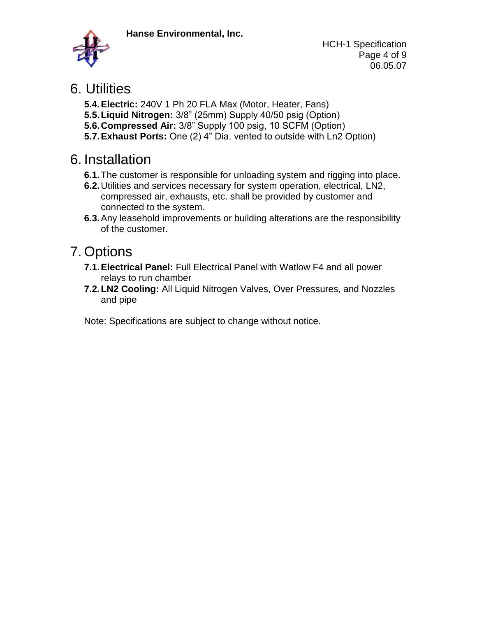

HCH-1 Specification Page 4 of 9 06.05.07

#### 6. Utilities

- **5.4.Electric:** 240V 1 Ph 20 FLA Max (Motor, Heater, Fans)
- **5.5.Liquid Nitrogen:** 3/8" (25mm) Supply 40/50 psig (Option)
- **5.6.Compressed Air:** 3/8" Supply 100 psig, 10 SCFM (Option)
- **5.7.Exhaust Ports:** One (2) 4" Dia. vented to outside with Ln2 Option)

# 6. Installation

- **6.1.**The customer is responsible for unloading system and rigging into place.
- **6.2.**Utilities and services necessary for system operation, electrical, LN2, compressed air, exhausts, etc. shall be provided by customer and connected to the system.
- **6.3.**Any leasehold improvements or building alterations are the responsibility of the customer.

# 7. Options

- **7.1.Electrical Panel:** Full Electrical Panel with Watlow F4 and all power relays to run chamber
- **7.2.LN2 Cooling:** All Liquid Nitrogen Valves, Over Pressures, and Nozzles and pipe

Note: Specifications are subject to change without notice.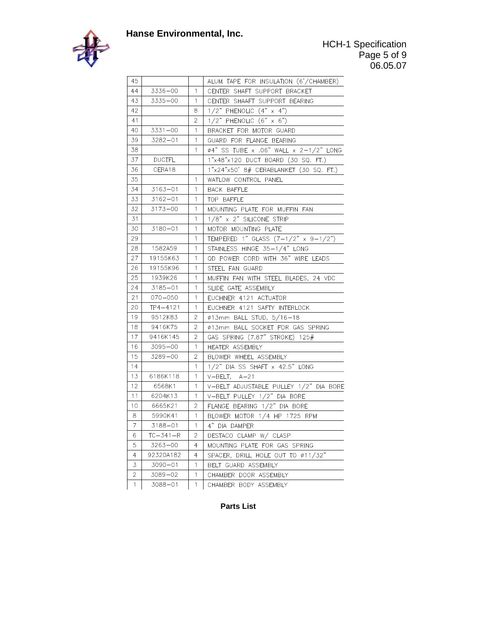

| 45             |               |              | ALUM TAPE FOR INSULATION (6'/CHAMBER)          |
|----------------|---------------|--------------|------------------------------------------------|
| 44             | $3336 - 00$   | $\mathbf{1}$ | CENTER SHAFT SUPPORT BRACKET                   |
| 43             | $3335 - 00$   | $\mathbf{1}$ | CENTER SHAAFT SUPPORT BEARING                  |
| 42             |               | 8            | $1/2$ " PHENOLIC $(4" \times 4")$              |
| 41             |               | 2            | $1/2$ " PHENOLIC $(6" \times 6")$              |
| 40             | $3331 - 00$   | $\mathbf{1}$ | BRACKET FOR MOTOR GUARD                        |
| 39             | $3282 - 01$   | 1            | GUARD FOR FLANGE BEARING                       |
| 38             |               | 1            | $\varphi$ 4" SS TUBE x .06" WALL x 2-1/2" LONG |
| 37             | <b>DUCTFL</b> |              | 1"x48"x120 DUCT BOARD (30 SQ. FT.)             |
| 36             | CERA18        |              | 1"x24"x50' 8# CERABLANKET (30 SQ. FT.)         |
| 35             |               | 1            | WATLOW CONTROL PANEL                           |
| 34             | $3163 - 01$   | 1            | <b>BACK BAFFLE</b>                             |
| 33             | $3162 - 01$   | $\mathbf{1}$ | TOP BAFFLE                                     |
| 32             | $3173 - 00$   | 1            | MOUNTING PLATE FOR MUFFIN FAN                  |
| 31             |               | 1            | 1/8" x 2" SILICONE STRIP                       |
| 30             | $3180 - 01$   | 1            | MOTOR MOUNTING PLATE                           |
| 29             |               | 1            | TEMPERED 1" GLASS $(7-1/2" \times 9-1/2")$     |
| 28             | 1582A59       | 1            | STAINLESS HINGE 35-1/4" LONG                   |
| 27             | 19155K63      | 1            | QD POWER CORD WITH 36" WIRE LEADS              |
| 26             | 19155K96      | $\mathbf{1}$ | STEEL FAN GUARD                                |
| 25             | 1939K26       | $\mathbf{1}$ | MUFFIN FAN WITH STEEL BLADES, 24 VDC           |
| 24             | $3185 - 01$   | $\mathbf{1}$ | SLIDE GATE ASSEMBLY                            |
| 21             | $070 - 050$   | 1            | EUCHNER 4121 ACTUATOR                          |
| 20             | $TP4 - 4121$  | $\mathbf{1}$ | EUCHNER 4121 SAFTY INTERLOCK                   |
| 19             | 9512K83       | 2            | Ø13mm BALL STUD, 5/16-18                       |
| 18             | 9416K75       | 2            | Ø13mm BALL SOCKET FOR GAS SPRING               |
| 17             | 9416K145      | 2            | GAS SPRING (7.87" STROKE) 125#                 |
| 16             | $3095 - 00$   | 1            | HEATER ASSEMBLY                                |
| 15             | $3289 - 00$   | 2            | BLOWER WHEEL ASSEMBLY                          |
| 14             |               | 1            | 1/2" DIA SS SHAFT x 42.5" LONG                 |
| 13             | 6186K118      | 1            | $V-BELT$ , $A-21$                              |
| 12             | 6568K1        | $\mathbf{1}$ | V-BELT ADJUSTABLE PULLEY 1/2" DIA BORE         |
| 11             | 6204K13       | $\mathbf{1}$ | V-BELT PULLEY 1/2" DIA BORE                    |
| 10             | 6665K21       | 2            | FLANGE BEARING 1/2" DIA BORE                   |
| 8              | 5990K41       | $\mathbf{1}$ | BLOWER MOTOR 1/4 HP 1725 RPM                   |
| $\overline{7}$ | $3188 - 01$   | $\mathbf 1$  | 4" DIA DAMPER                                  |
| 6              | TC-341-R      | $\mathbf{2}$ | DESTACO CLAMP W/ CLASP                         |
| 5              | 3263-00       | 4            | MOUNTING PLATE FOR GAS SPRING                  |
| 4              | 92320A182     | 4            | SPACER, DRILL HOLE OUT TO Ø11/32"              |
| 3              | $3090 - 01$   | 1            | BELT GUARD ASSEMBLY                            |
| 2              | 3089-02       | 1            | CHAMBER DOOR ASSEMBLY                          |
| 1              | 3088-01       | 1            | CHAMBER BODY ASSEMBLY                          |

**Parts List**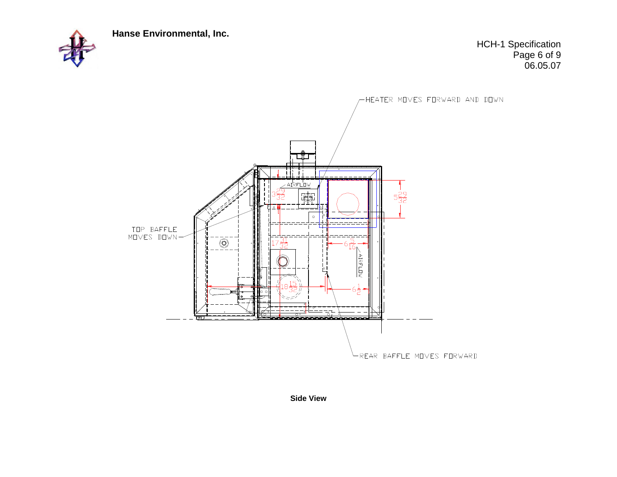

HCH-1 Specification Page 6 of 9 06.05.07



**Side View**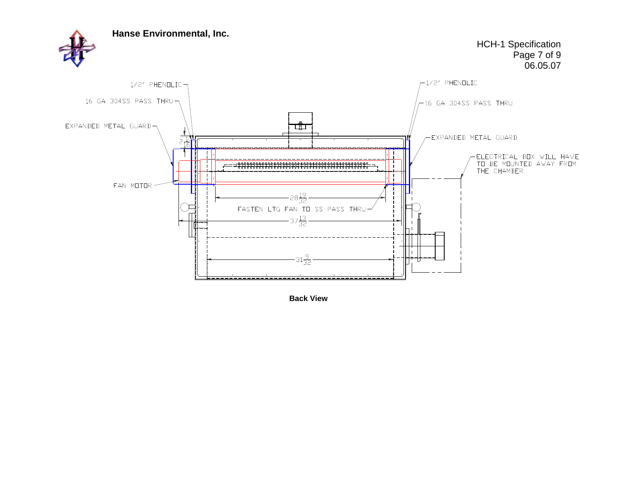

**Back View**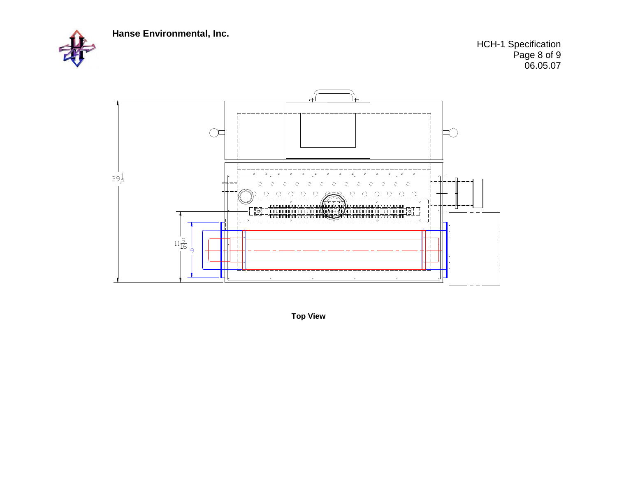

HCH-1 Specification Page 8 of 9 06.05.07



**Top View**